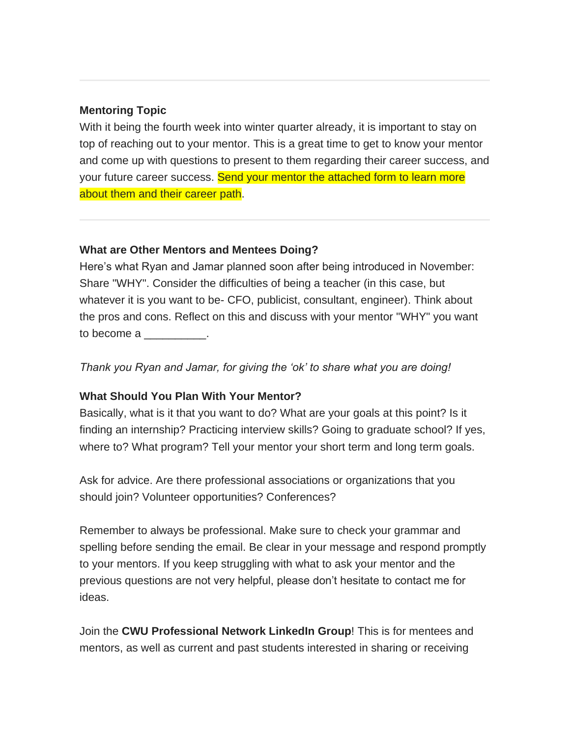## **Mentoring Topic**

With it being the fourth week into winter quarter already, it is important to stay on top of reaching out to your mentor. This is a great time to get to know your mentor and come up with questions to present to them regarding their career success, and your future career success. Send your mentor the attached form to learn more about them and their career path.

## **What are Other Mentors and Mentees Doing?**

Here's what Ryan and Jamar planned soon after being introduced in November: Share "WHY". Consider the difficulties of being a teacher (in this case, but whatever it is you want to be- CFO, publicist, consultant, engineer). Think about the pros and cons. Reflect on this and discuss with your mentor "WHY" you want to become a \_\_\_\_\_\_\_\_\_\_.

*Thank you Ryan and Jamar, for giving the 'ok' to share what you are doing!*

## **What Should You Plan With Your Mentor?**

Basically, what is it that you want to do? What are your goals at this point? Is it finding an internship? Practicing interview skills? Going to graduate school? If yes, where to? What program? Tell your mentor your short term and long term goals.

Ask for advice. Are there professional associations or organizations that you should join? Volunteer opportunities? Conferences?

Remember to always be professional. Make sure to check your grammar and spelling before sending the email. Be clear in your message and respond promptly to your mentors. If you keep struggling with what to ask your mentor and the previous questions are not very helpful, please don't hesitate to contact me for ideas.

Join the **CWU Professional Network LinkedIn Group**! This is for mentees and mentors, as well as current and past students interested in sharing or receiving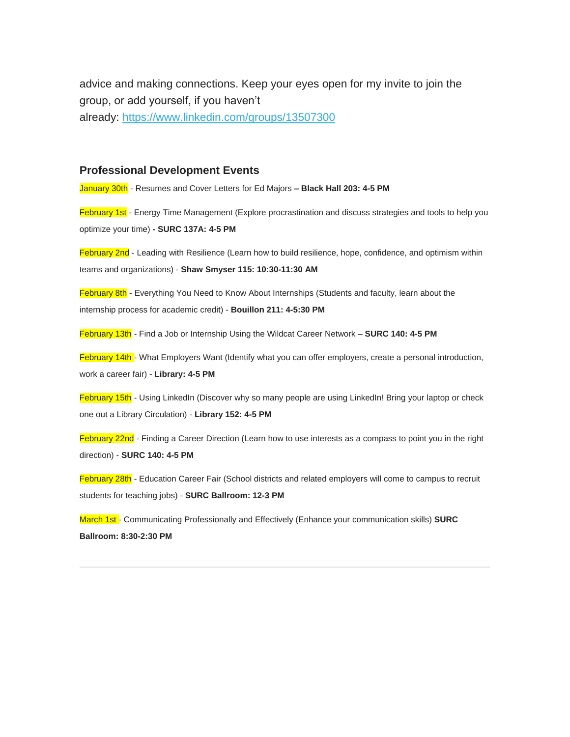advice and making connections. Keep your eyes open for my invite to join the group, or add yourself, if you haven't already: <https://www.linkedin.com/groups/13507300>

## **Professional Development Events**

January 30th - Resumes and Cover Letters for Ed Majors **– Black Hall 203: 4-5 PM**

February 1st - Energy Time Management (Explore procrastination and discuss strategies and tools to help you optimize your time) **- SURC 137A: 4-5 PM**

February 2nd - Leading with Resilience (Learn how to build resilience, hope, confidence, and optimism within teams and organizations) - **Shaw Smyser 115: 10:30-11:30 AM**

February 8th - Everything You Need to Know About Internships (Students and faculty, learn about the internship process for academic credit) - **Bouillon 211: 4-5:30 PM**

February 13th - Find a Job or Internship Using the Wildcat Career Network – **SURC 140: 4-5 PM**

February 14th - What Employers Want (Identify what you can offer employers, create a personal introduction, work a career fair) - **Library: 4-5 PM**

February 15th - Using LinkedIn (Discover why so many people are using LinkedIn! Bring your laptop or check one out a Library Circulation) - **Library 152: 4-5 PM**

February 22nd - Finding a Career Direction (Learn how to use interests as a compass to point you in the right direction) - **SURC 140: 4-5 PM**

February 28th - Education Career Fair (School districts and related employers will come to campus to recruit students for teaching jobs) - **SURC Ballroom: 12-3 PM**

March 1st - Communicating Professionally and Effectively (Enhance your communication skills) **SURC Ballroom: 8:30-2:30 PM**